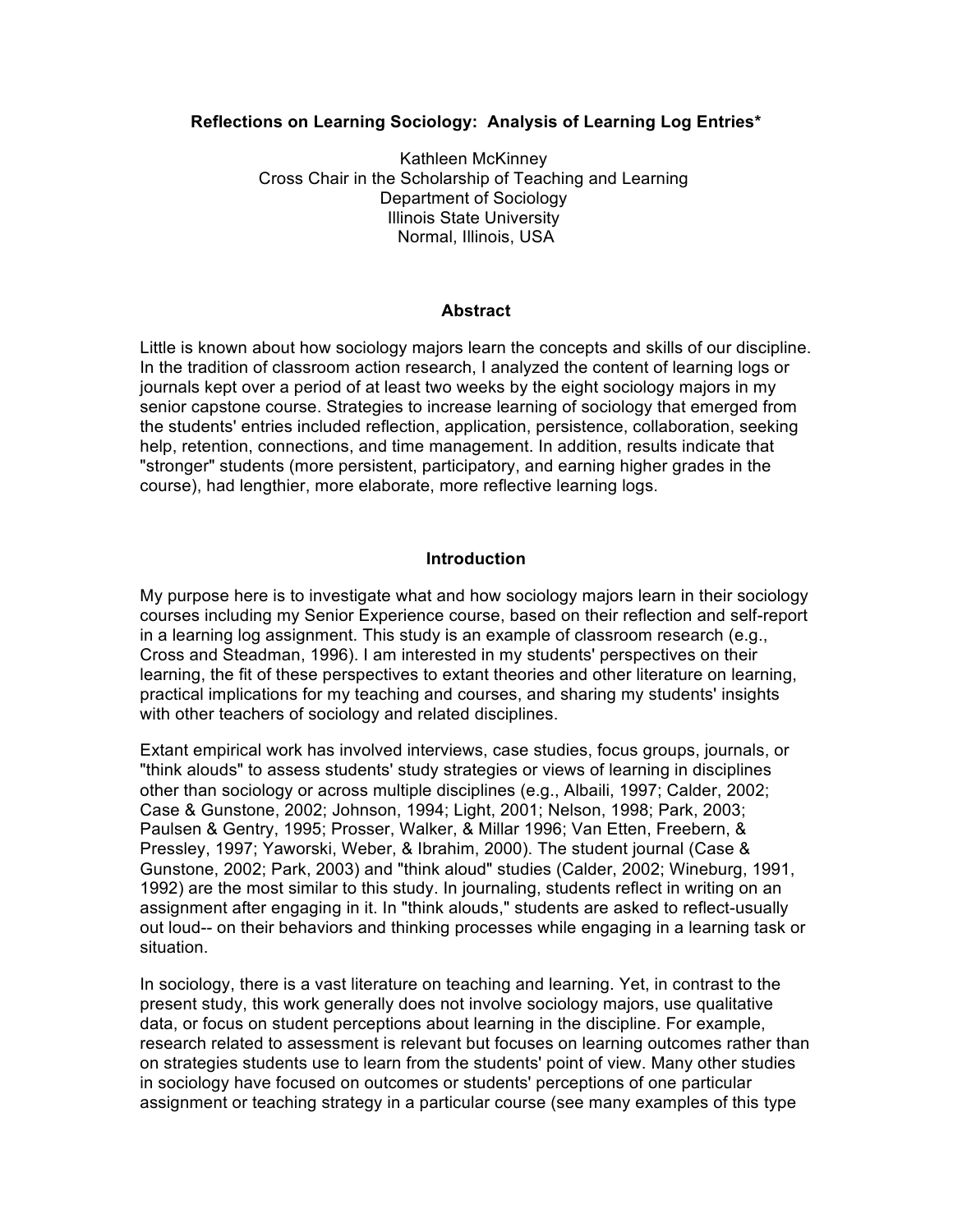# **Reflections on Learning Sociology: Analysis of Learning Log Entries\***

Kathleen McKinney Cross Chair in the Scholarship of Teaching and Learning Department of Sociology Illinois State University Normal, Illinois, USA

### **Abstract**

Little is known about how sociology majors learn the concepts and skills of our discipline. In the tradition of classroom action research, I analyzed the content of learning logs or journals kept over a period of at least two weeks by the eight sociology majors in my senior capstone course. Strategies to increase learning of sociology that emerged from the students' entries included reflection, application, persistence, collaboration, seeking help, retention, connections, and time management. In addition, results indicate that "stronger" students (more persistent, participatory, and earning higher grades in the course), had lengthier, more elaborate, more reflective learning logs.

### **Introduction**

My purpose here is to investigate what and how sociology majors learn in their sociology courses including my Senior Experience course, based on their reflection and self-report in a learning log assignment. This study is an example of classroom research (e.g., Cross and Steadman, 1996). I am interested in my students' perspectives on their learning, the fit of these perspectives to extant theories and other literature on learning, practical implications for my teaching and courses, and sharing my students' insights with other teachers of sociology and related disciplines.

Extant empirical work has involved interviews, case studies, focus groups, journals, or "think alouds" to assess students' study strategies or views of learning in disciplines other than sociology or across multiple disciplines (e.g., Albaili, 1997; Calder, 2002; Case & Gunstone, 2002; Johnson, 1994; Light, 2001; Nelson, 1998; Park, 2003; Paulsen & Gentry, 1995; Prosser, Walker, & Millar 1996; Van Etten, Freebern, & Pressley, 1997; Yaworski, Weber, & Ibrahim, 2000). The student journal (Case & Gunstone, 2002; Park, 2003) and "think aloud" studies (Calder, 2002; Wineburg, 1991, 1992) are the most similar to this study. In journaling, students reflect in writing on an assignment after engaging in it. In "think alouds," students are asked to reflect-usually out loud-- on their behaviors and thinking processes while engaging in a learning task or situation.

In sociology, there is a vast literature on teaching and learning. Yet, in contrast to the present study, this work generally does not involve sociology majors, use qualitative data, or focus on student perceptions about learning in the discipline. For example, research related to assessment is relevant but focuses on learning outcomes rather than on strategies students use to learn from the students' point of view. Many other studies in sociology have focused on outcomes or students' perceptions of one particular assignment or teaching strategy in a particular course (see many examples of this type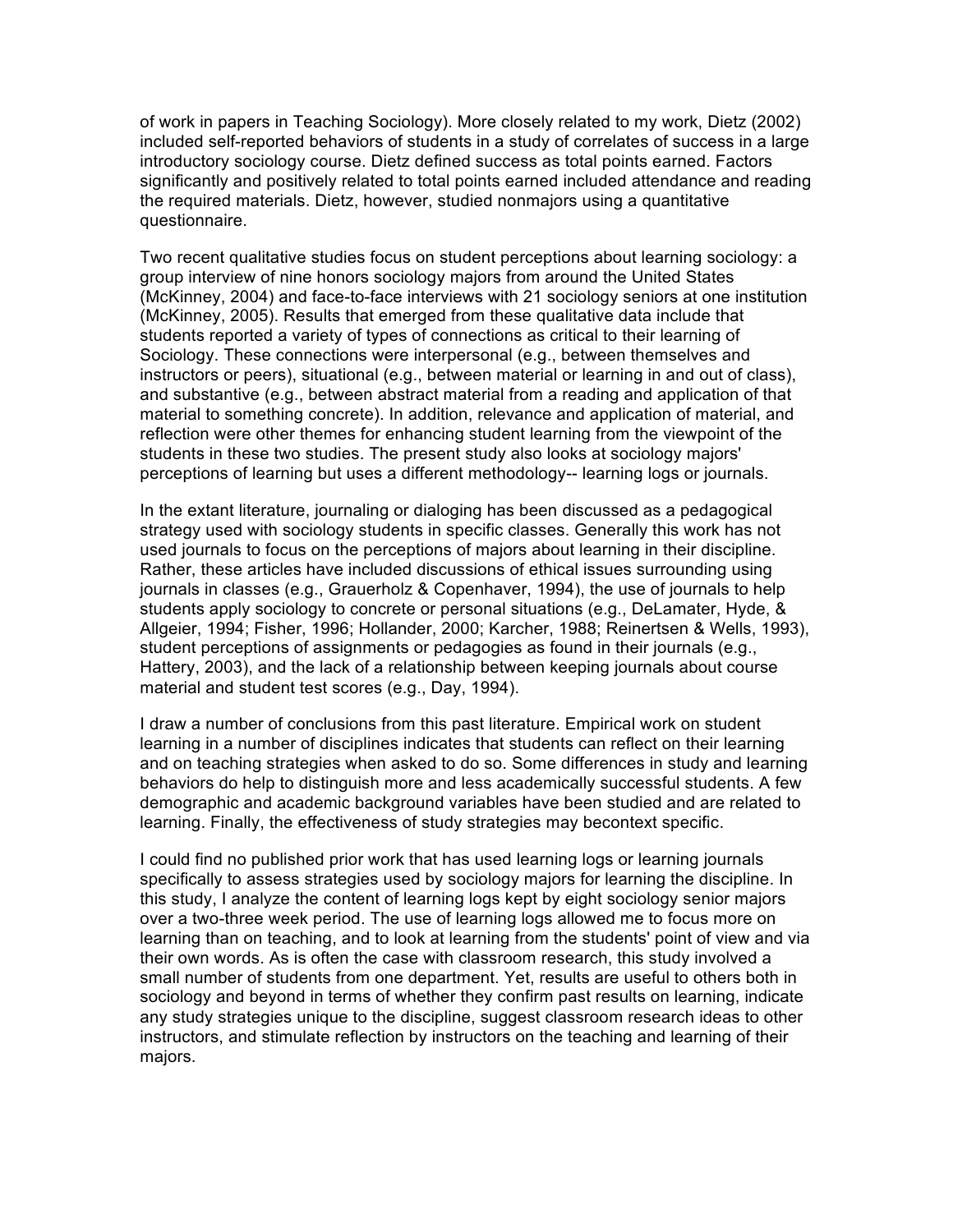of work in papers in Teaching Sociology). More closely related to my work, Dietz (2002) included self-reported behaviors of students in a study of correlates of success in a large introductory sociology course. Dietz defined success as total points earned. Factors significantly and positively related to total points earned included attendance and reading the required materials. Dietz, however, studied nonmajors using a quantitative questionnaire.

Two recent qualitative studies focus on student perceptions about learning sociology: a group interview of nine honors sociology majors from around the United States (McKinney, 2004) and face-to-face interviews with 21 sociology seniors at one institution (McKinney, 2005). Results that emerged from these qualitative data include that students reported a variety of types of connections as critical to their learning of Sociology. These connections were interpersonal (e.g., between themselves and instructors or peers), situational (e.g., between material or learning in and out of class), and substantive (e.g., between abstract material from a reading and application of that material to something concrete). In addition, relevance and application of material, and reflection were other themes for enhancing student learning from the viewpoint of the students in these two studies. The present study also looks at sociology majors' perceptions of learning but uses a different methodology-- learning logs or journals.

In the extant literature, journaling or dialoging has been discussed as a pedagogical strategy used with sociology students in specific classes. Generally this work has not used journals to focus on the perceptions of majors about learning in their discipline. Rather, these articles have included discussions of ethical issues surrounding using journals in classes (e.g., Grauerholz & Copenhaver, 1994), the use of journals to help students apply sociology to concrete or personal situations (e.g., DeLamater, Hyde, & Allgeier, 1994; Fisher, 1996; Hollander, 2000; Karcher, 1988; Reinertsen & Wells, 1993), student perceptions of assignments or pedagogies as found in their journals (e.g., Hattery, 2003), and the lack of a relationship between keeping journals about course material and student test scores (e.g., Day, 1994).

I draw a number of conclusions from this past literature. Empirical work on student learning in a number of disciplines indicates that students can reflect on their learning and on teaching strategies when asked to do so. Some differences in study and learning behaviors do help to distinguish more and less academically successful students. A few demographic and academic background variables have been studied and are related to learning. Finally, the effectiveness of study strategies may becontext specific.

I could find no published prior work that has used learning logs or learning journals specifically to assess strategies used by sociology majors for learning the discipline. In this study, I analyze the content of learning logs kept by eight sociology senior majors over a two-three week period. The use of learning logs allowed me to focus more on learning than on teaching, and to look at learning from the students' point of view and via their own words. As is often the case with classroom research, this study involved a small number of students from one department. Yet, results are useful to others both in sociology and beyond in terms of whether they confirm past results on learning, indicate any study strategies unique to the discipline, suggest classroom research ideas to other instructors, and stimulate reflection by instructors on the teaching and learning of their majors.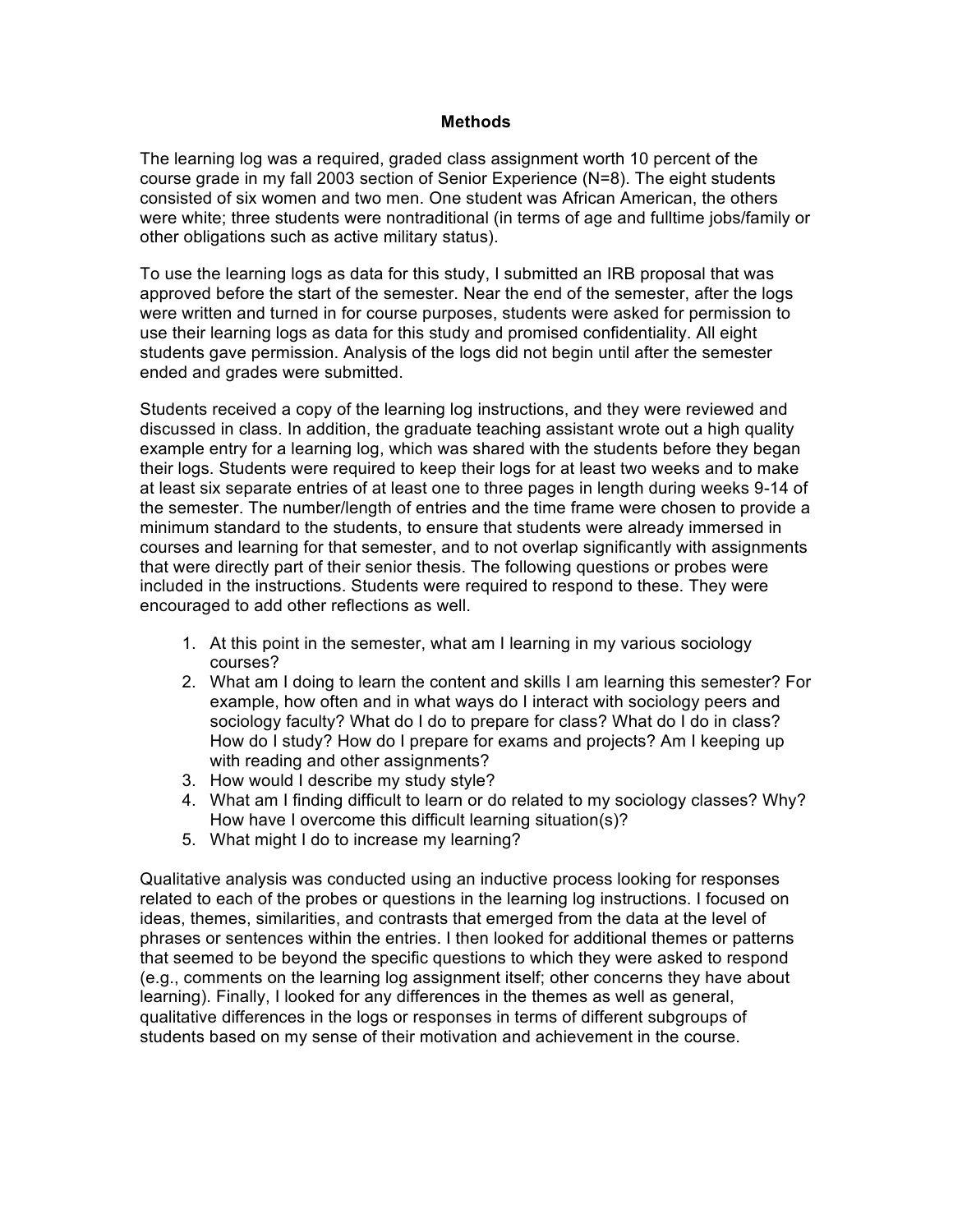### **Methods**

The learning log was a required, graded class assignment worth 10 percent of the course grade in my fall 2003 section of Senior Experience (N=8). The eight students consisted of six women and two men. One student was African American, the others were white; three students were nontraditional (in terms of age and fulltime jobs/family or other obligations such as active military status).

To use the learning logs as data for this study, I submitted an IRB proposal that was approved before the start of the semester. Near the end of the semester, after the logs were written and turned in for course purposes, students were asked for permission to use their learning logs as data for this study and promised confidentiality. All eight students gave permission. Analysis of the logs did not begin until after the semester ended and grades were submitted.

Students received a copy of the learning log instructions, and they were reviewed and discussed in class. In addition, the graduate teaching assistant wrote out a high quality example entry for a learning log, which was shared with the students before they began their logs. Students were required to keep their logs for at least two weeks and to make at least six separate entries of at least one to three pages in length during weeks 9-14 of the semester. The number/length of entries and the time frame were chosen to provide a minimum standard to the students, to ensure that students were already immersed in courses and learning for that semester, and to not overlap significantly with assignments that were directly part of their senior thesis. The following questions or probes were included in the instructions. Students were required to respond to these. They were encouraged to add other reflections as well.

- 1. At this point in the semester, what am I learning in my various sociology courses?
- 2. What am I doing to learn the content and skills I am learning this semester? For example, how often and in what ways do I interact with sociology peers and sociology faculty? What do I do to prepare for class? What do I do in class? How do I study? How do I prepare for exams and projects? Am I keeping up with reading and other assignments?
- 3. How would I describe my study style?
- 4. What am I finding difficult to learn or do related to my sociology classes? Why? How have I overcome this difficult learning situation(s)?
- 5. What might I do to increase my learning?

Qualitative analysis was conducted using an inductive process looking for responses related to each of the probes or questions in the learning log instructions. I focused on ideas, themes, similarities, and contrasts that emerged from the data at the level of phrases or sentences within the entries. I then looked for additional themes or patterns that seemed to be beyond the specific questions to which they were asked to respond (e.g., comments on the learning log assignment itself; other concerns they have about learning). Finally, I looked for any differences in the themes as well as general, qualitative differences in the logs or responses in terms of different subgroups of students based on my sense of their motivation and achievement in the course.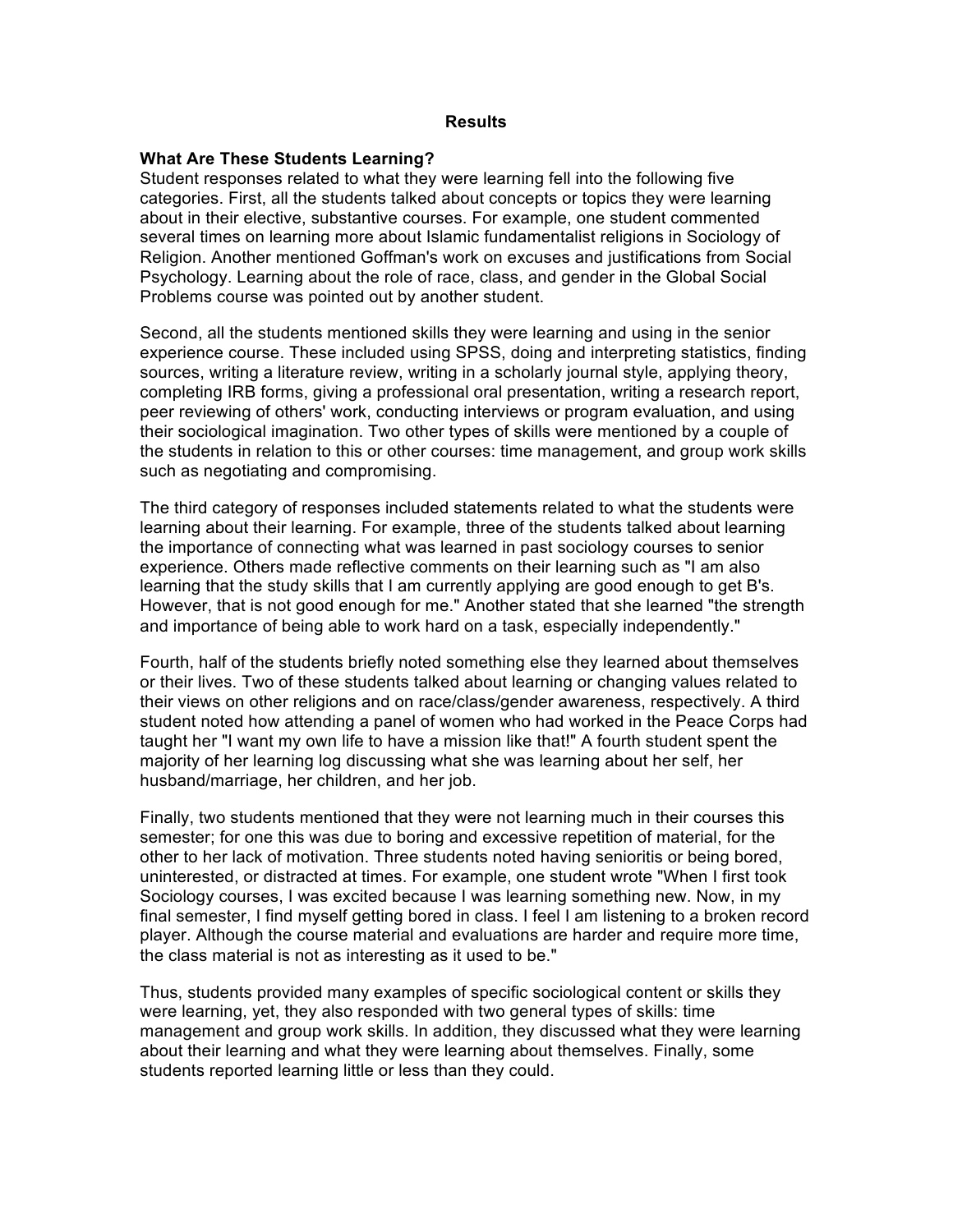#### **Results**

#### **What Are These Students Learning?**

Student responses related to what they were learning fell into the following five categories. First, all the students talked about concepts or topics they were learning about in their elective, substantive courses. For example, one student commented several times on learning more about Islamic fundamentalist religions in Sociology of Religion. Another mentioned Goffman's work on excuses and justifications from Social Psychology. Learning about the role of race, class, and gender in the Global Social Problems course was pointed out by another student.

Second, all the students mentioned skills they were learning and using in the senior experience course. These included using SPSS, doing and interpreting statistics, finding sources, writing a literature review, writing in a scholarly journal style, applying theory, completing IRB forms, giving a professional oral presentation, writing a research report, peer reviewing of others' work, conducting interviews or program evaluation, and using their sociological imagination. Two other types of skills were mentioned by a couple of the students in relation to this or other courses: time management, and group work skills such as negotiating and compromising.

The third category of responses included statements related to what the students were learning about their learning. For example, three of the students talked about learning the importance of connecting what was learned in past sociology courses to senior experience. Others made reflective comments on their learning such as "I am also learning that the study skills that I am currently applying are good enough to get B's. However, that is not good enough for me." Another stated that she learned "the strength and importance of being able to work hard on a task, especially independently."

Fourth, half of the students briefly noted something else they learned about themselves or their lives. Two of these students talked about learning or changing values related to their views on other religions and on race/class/gender awareness, respectively. A third student noted how attending a panel of women who had worked in the Peace Corps had taught her "I want my own life to have a mission like that!" A fourth student spent the majority of her learning log discussing what she was learning about her self, her husband/marriage, her children, and her job.

Finally, two students mentioned that they were not learning much in their courses this semester; for one this was due to boring and excessive repetition of material, for the other to her lack of motivation. Three students noted having senioritis or being bored, uninterested, or distracted at times. For example, one student wrote "When I first took Sociology courses, I was excited because I was learning something new. Now, in my final semester, I find myself getting bored in class. I feel I am listening to a broken record player. Although the course material and evaluations are harder and require more time, the class material is not as interesting as it used to be."

Thus, students provided many examples of specific sociological content or skills they were learning, yet, they also responded with two general types of skills: time management and group work skills. In addition, they discussed what they were learning about their learning and what they were learning about themselves. Finally, some students reported learning little or less than they could.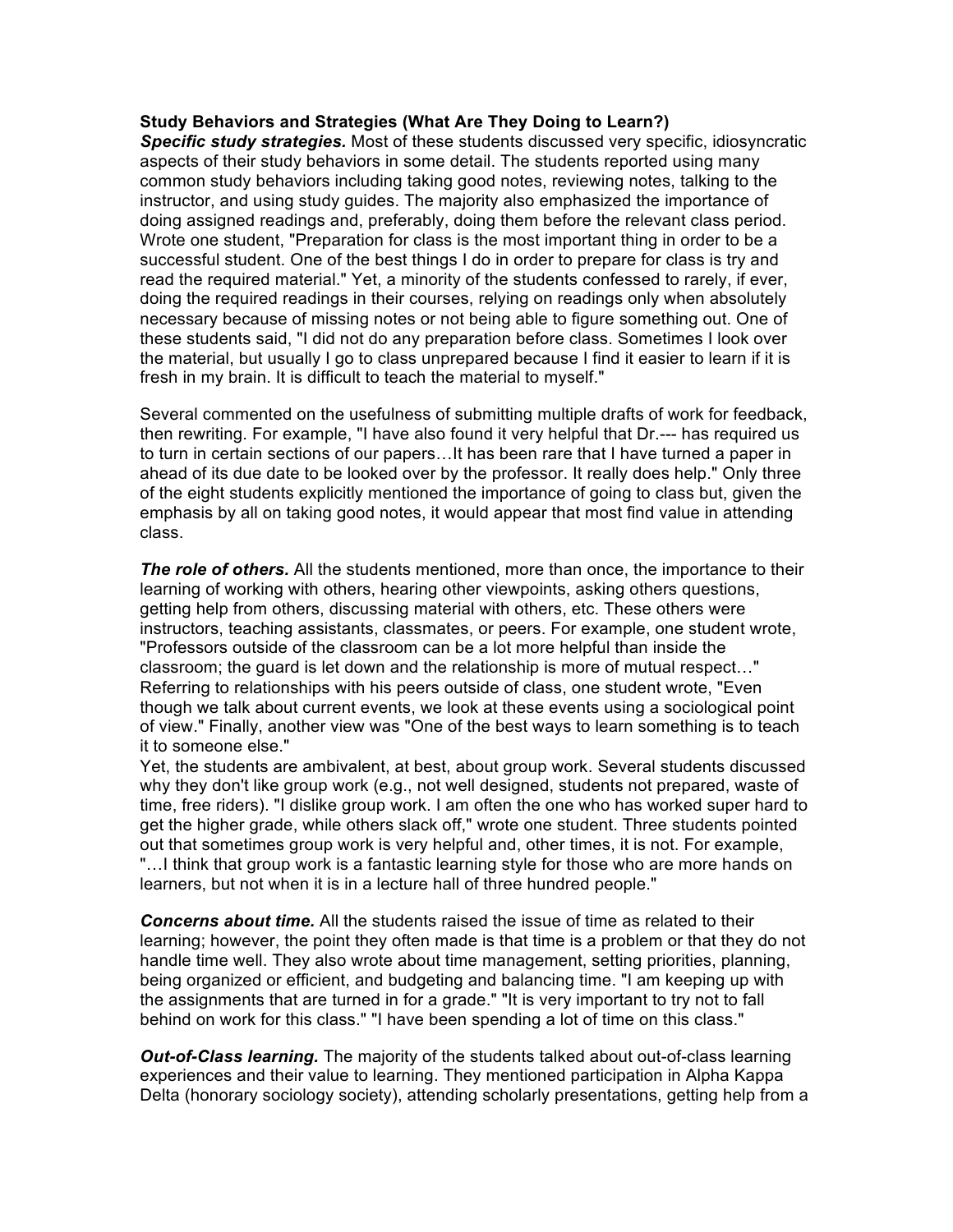## **Study Behaviors and Strategies (What Are They Doing to Learn?)**

*Specific study strategies.* Most of these students discussed very specific, idiosyncratic aspects of their study behaviors in some detail. The students reported using many common study behaviors including taking good notes, reviewing notes, talking to the instructor, and using study guides. The majority also emphasized the importance of doing assigned readings and, preferably, doing them before the relevant class period. Wrote one student, "Preparation for class is the most important thing in order to be a successful student. One of the best things I do in order to prepare for class is try and read the required material." Yet, a minority of the students confessed to rarely, if ever, doing the required readings in their courses, relying on readings only when absolutely necessary because of missing notes or not being able to figure something out. One of these students said, "I did not do any preparation before class. Sometimes I look over the material, but usually I go to class unprepared because I find it easier to learn if it is fresh in my brain. It is difficult to teach the material to myself."

Several commented on the usefulness of submitting multiple drafts of work for feedback, then rewriting. For example, "I have also found it very helpful that Dr.--- has required us to turn in certain sections of our papers…It has been rare that I have turned a paper in ahead of its due date to be looked over by the professor. It really does help." Only three of the eight students explicitly mentioned the importance of going to class but, given the emphasis by all on taking good notes, it would appear that most find value in attending class.

**The role of others.** All the students mentioned, more than once, the importance to their learning of working with others, hearing other viewpoints, asking others questions, getting help from others, discussing material with others, etc. These others were instructors, teaching assistants, classmates, or peers. For example, one student wrote, "Professors outside of the classroom can be a lot more helpful than inside the classroom; the guard is let down and the relationship is more of mutual respect…" Referring to relationships with his peers outside of class, one student wrote, "Even though we talk about current events, we look at these events using a sociological point of view." Finally, another view was "One of the best ways to learn something is to teach it to someone else."

Yet, the students are ambivalent, at best, about group work. Several students discussed why they don't like group work (e.g., not well designed, students not prepared, waste of time, free riders). "I dislike group work. I am often the one who has worked super hard to get the higher grade, while others slack off," wrote one student. Three students pointed out that sometimes group work is very helpful and, other times, it is not. For example, "…I think that group work is a fantastic learning style for those who are more hands on learners, but not when it is in a lecture hall of three hundred people."

*Concerns about time.* All the students raised the issue of time as related to their learning; however, the point they often made is that time is a problem or that they do not handle time well. They also wrote about time management, setting priorities, planning, being organized or efficient, and budgeting and balancing time. "I am keeping up with the assignments that are turned in for a grade." "It is very important to try not to fall behind on work for this class." "I have been spending a lot of time on this class."

*Out-of-Class learning.* The majority of the students talked about out-of-class learning experiences and their value to learning. They mentioned participation in Alpha Kappa Delta (honorary sociology society), attending scholarly presentations, getting help from a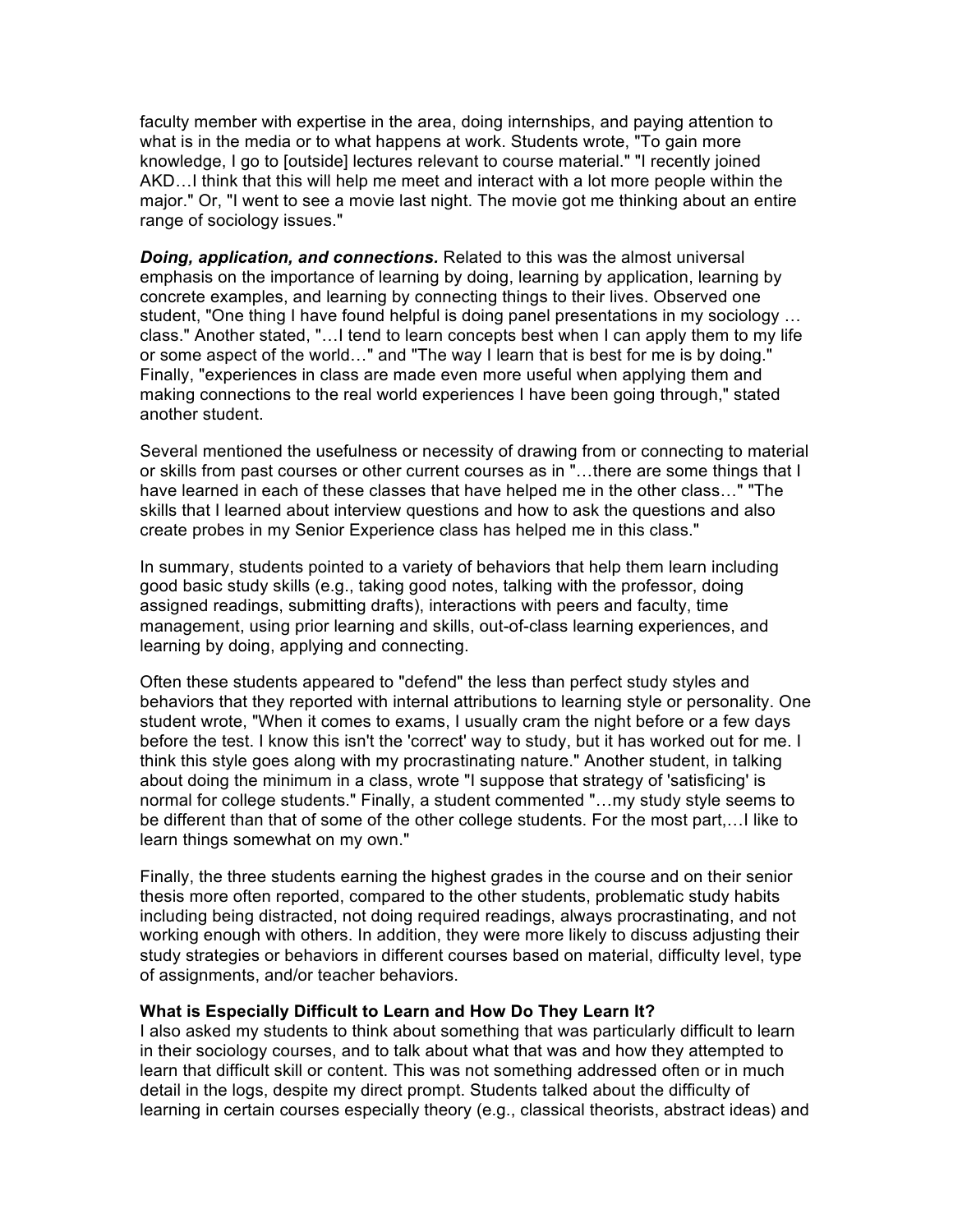faculty member with expertise in the area, doing internships, and paying attention to what is in the media or to what happens at work. Students wrote, "To gain more knowledge, I go to [outside] lectures relevant to course material." "I recently joined AKD…I think that this will help me meet and interact with a lot more people within the major." Or, "I went to see a movie last night. The movie got me thinking about an entire range of sociology issues."

*Doing, application, and connections.* Related to this was the almost universal emphasis on the importance of learning by doing, learning by application, learning by concrete examples, and learning by connecting things to their lives. Observed one student, "One thing I have found helpful is doing panel presentations in my sociology … class." Another stated, "…I tend to learn concepts best when I can apply them to my life or some aspect of the world…" and "The way I learn that is best for me is by doing." Finally, "experiences in class are made even more useful when applying them and making connections to the real world experiences I have been going through," stated another student.

Several mentioned the usefulness or necessity of drawing from or connecting to material or skills from past courses or other current courses as in "…there are some things that I have learned in each of these classes that have helped me in the other class…" "The skills that I learned about interview questions and how to ask the questions and also create probes in my Senior Experience class has helped me in this class."

In summary, students pointed to a variety of behaviors that help them learn including good basic study skills (e.g., taking good notes, talking with the professor, doing assigned readings, submitting drafts), interactions with peers and faculty, time management, using prior learning and skills, out-of-class learning experiences, and learning by doing, applying and connecting.

Often these students appeared to "defend" the less than perfect study styles and behaviors that they reported with internal attributions to learning style or personality. One student wrote, "When it comes to exams, I usually cram the night before or a few days before the test. I know this isn't the 'correct' way to study, but it has worked out for me. I think this style goes along with my procrastinating nature." Another student, in talking about doing the minimum in a class, wrote "I suppose that strategy of 'satisficing' is normal for college students." Finally, a student commented "…my study style seems to be different than that of some of the other college students. For the most part,…I like to learn things somewhat on my own."

Finally, the three students earning the highest grades in the course and on their senior thesis more often reported, compared to the other students, problematic study habits including being distracted, not doing required readings, always procrastinating, and not working enough with others. In addition, they were more likely to discuss adjusting their study strategies or behaviors in different courses based on material, difficulty level, type of assignments, and/or teacher behaviors.

#### **What is Especially Difficult to Learn and How Do They Learn It?**

I also asked my students to think about something that was particularly difficult to learn in their sociology courses, and to talk about what that was and how they attempted to learn that difficult skill or content. This was not something addressed often or in much detail in the logs, despite my direct prompt. Students talked about the difficulty of learning in certain courses especially theory (e.g., classical theorists, abstract ideas) and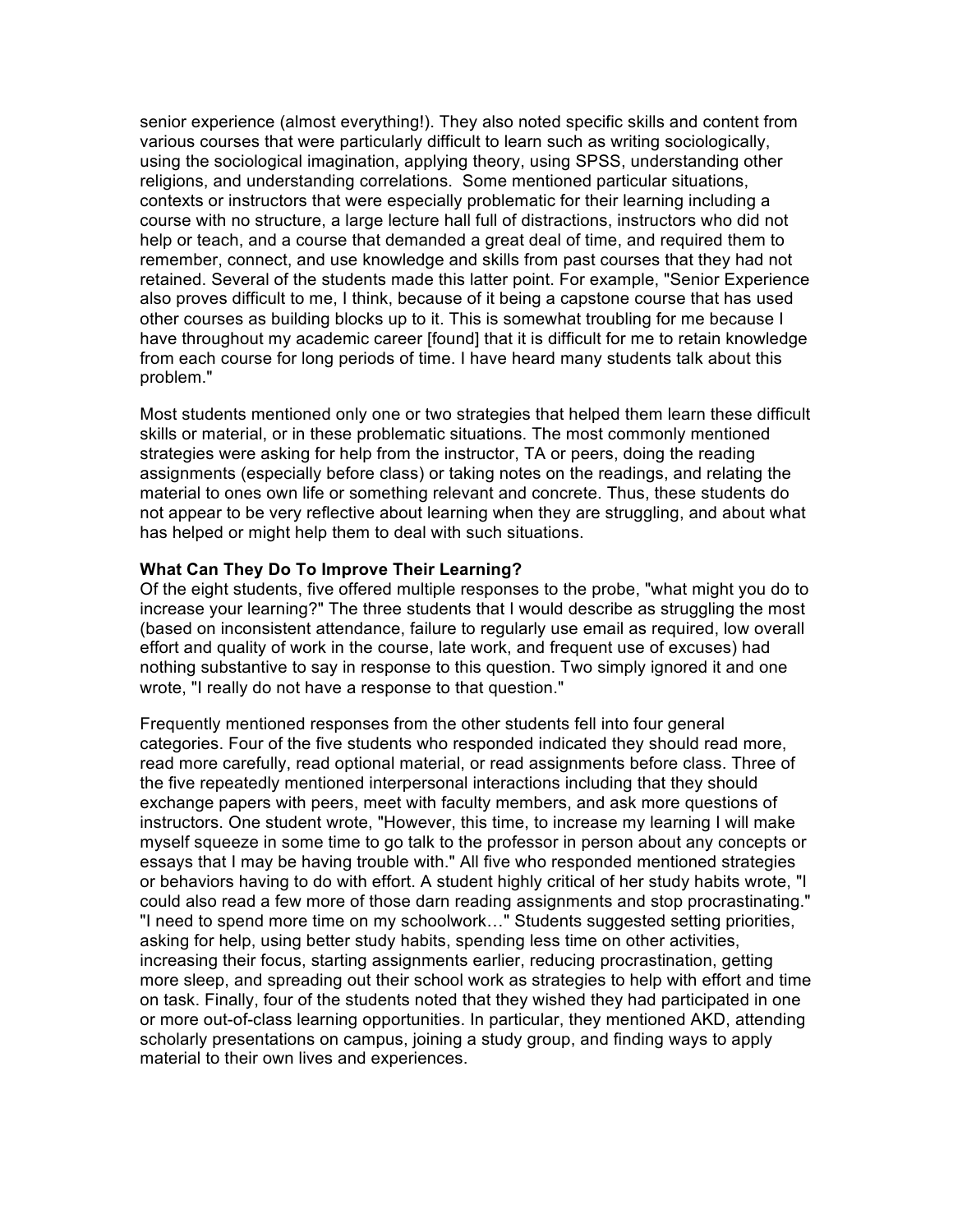senior experience (almost everything!). They also noted specific skills and content from various courses that were particularly difficult to learn such as writing sociologically, using the sociological imagination, applying theory, using SPSS, understanding other religions, and understanding correlations. Some mentioned particular situations, contexts or instructors that were especially problematic for their learning including a course with no structure, a large lecture hall full of distractions, instructors who did not help or teach, and a course that demanded a great deal of time, and required them to remember, connect, and use knowledge and skills from past courses that they had not retained. Several of the students made this latter point. For example, "Senior Experience also proves difficult to me, I think, because of it being a capstone course that has used other courses as building blocks up to it. This is somewhat troubling for me because I have throughout my academic career [found] that it is difficult for me to retain knowledge from each course for long periods of time. I have heard many students talk about this problem."

Most students mentioned only one or two strategies that helped them learn these difficult skills or material, or in these problematic situations. The most commonly mentioned strategies were asking for help from the instructor, TA or peers, doing the reading assignments (especially before class) or taking notes on the readings, and relating the material to ones own life or something relevant and concrete. Thus, these students do not appear to be very reflective about learning when they are struggling, and about what has helped or might help them to deal with such situations.

# **What Can They Do To Improve Their Learning?**

Of the eight students, five offered multiple responses to the probe, "what might you do to increase your learning?" The three students that I would describe as struggling the most (based on inconsistent attendance, failure to regularly use email as required, low overall effort and quality of work in the course, late work, and frequent use of excuses) had nothing substantive to say in response to this question. Two simply ignored it and one wrote, "I really do not have a response to that question."

Frequently mentioned responses from the other students fell into four general categories. Four of the five students who responded indicated they should read more, read more carefully, read optional material, or read assignments before class. Three of the five repeatedly mentioned interpersonal interactions including that they should exchange papers with peers, meet with faculty members, and ask more questions of instructors. One student wrote, "However, this time, to increase my learning I will make myself squeeze in some time to go talk to the professor in person about any concepts or essays that I may be having trouble with." All five who responded mentioned strategies or behaviors having to do with effort. A student highly critical of her study habits wrote, "I could also read a few more of those darn reading assignments and stop procrastinating." "I need to spend more time on my schoolwork…" Students suggested setting priorities, asking for help, using better study habits, spending less time on other activities, increasing their focus, starting assignments earlier, reducing procrastination, getting more sleep, and spreading out their school work as strategies to help with effort and time on task. Finally, four of the students noted that they wished they had participated in one or more out-of-class learning opportunities. In particular, they mentioned AKD, attending scholarly presentations on campus, joining a study group, and finding ways to apply material to their own lives and experiences.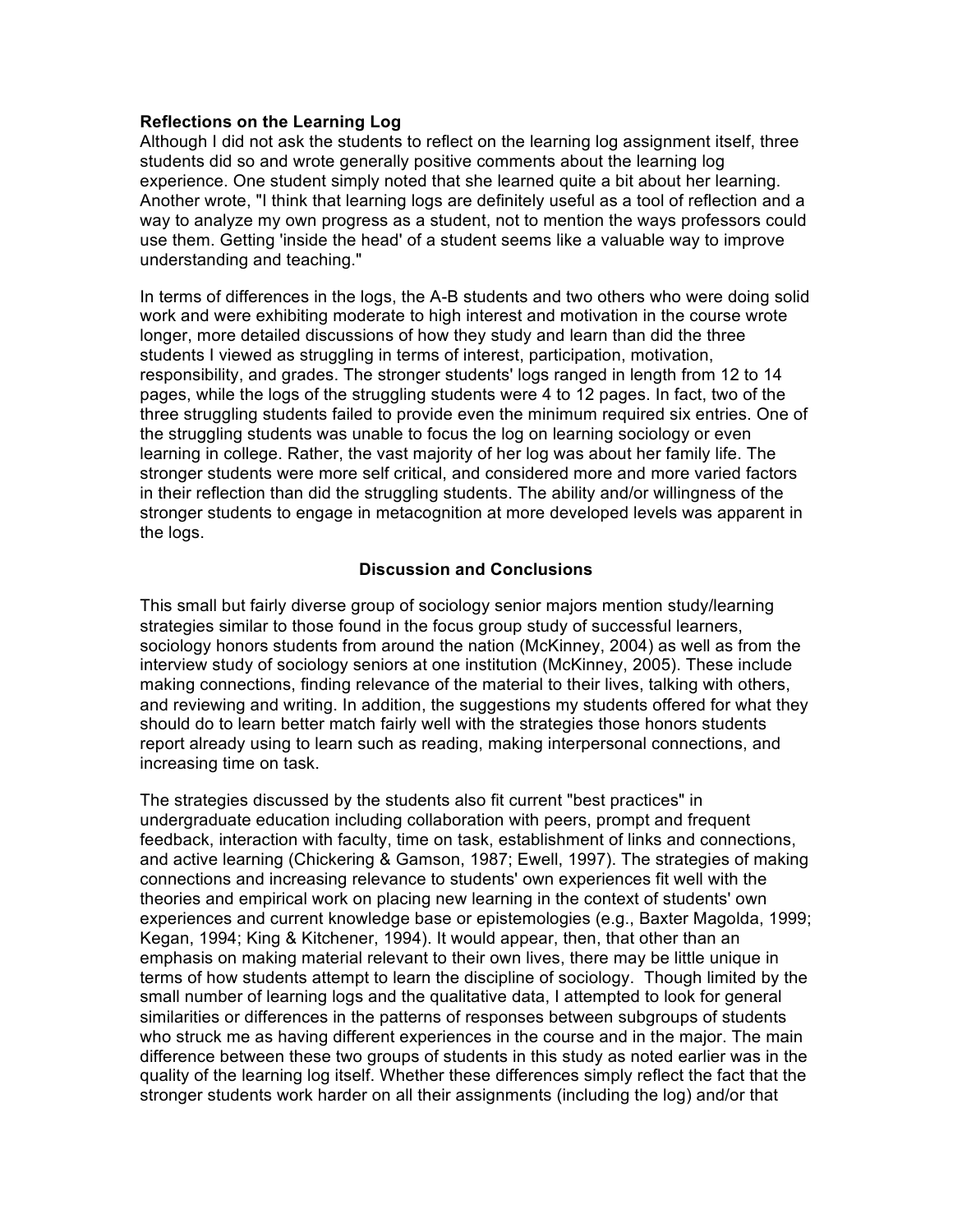## **Reflections on the Learning Log**

Although I did not ask the students to reflect on the learning log assignment itself, three students did so and wrote generally positive comments about the learning log experience. One student simply noted that she learned quite a bit about her learning. Another wrote, "I think that learning logs are definitely useful as a tool of reflection and a way to analyze my own progress as a student, not to mention the ways professors could use them. Getting 'inside the head' of a student seems like a valuable way to improve understanding and teaching."

In terms of differences in the logs, the A-B students and two others who were doing solid work and were exhibiting moderate to high interest and motivation in the course wrote longer, more detailed discussions of how they study and learn than did the three students I viewed as struggling in terms of interest, participation, motivation, responsibility, and grades. The stronger students' logs ranged in length from 12 to 14 pages, while the logs of the struggling students were 4 to 12 pages. In fact, two of the three struggling students failed to provide even the minimum required six entries. One of the struggling students was unable to focus the log on learning sociology or even learning in college. Rather, the vast majority of her log was about her family life. The stronger students were more self critical, and considered more and more varied factors in their reflection than did the struggling students. The ability and/or willingness of the stronger students to engage in metacognition at more developed levels was apparent in the logs.

# **Discussion and Conclusions**

This small but fairly diverse group of sociology senior majors mention study/learning strategies similar to those found in the focus group study of successful learners, sociology honors students from around the nation (McKinney, 2004) as well as from the interview study of sociology seniors at one institution (McKinney, 2005). These include making connections, finding relevance of the material to their lives, talking with others, and reviewing and writing. In addition, the suggestions my students offered for what they should do to learn better match fairly well with the strategies those honors students report already using to learn such as reading, making interpersonal connections, and increasing time on task.

The strategies discussed by the students also fit current "best practices" in undergraduate education including collaboration with peers, prompt and frequent feedback, interaction with faculty, time on task, establishment of links and connections, and active learning (Chickering & Gamson, 1987; Ewell, 1997). The strategies of making connections and increasing relevance to students' own experiences fit well with the theories and empirical work on placing new learning in the context of students' own experiences and current knowledge base or epistemologies (e.g., Baxter Magolda, 1999; Kegan, 1994; King & Kitchener, 1994). It would appear, then, that other than an emphasis on making material relevant to their own lives, there may be little unique in terms of how students attempt to learn the discipline of sociology. Though limited by the small number of learning logs and the qualitative data, I attempted to look for general similarities or differences in the patterns of responses between subgroups of students who struck me as having different experiences in the course and in the major. The main difference between these two groups of students in this study as noted earlier was in the quality of the learning log itself. Whether these differences simply reflect the fact that the stronger students work harder on all their assignments (including the log) and/or that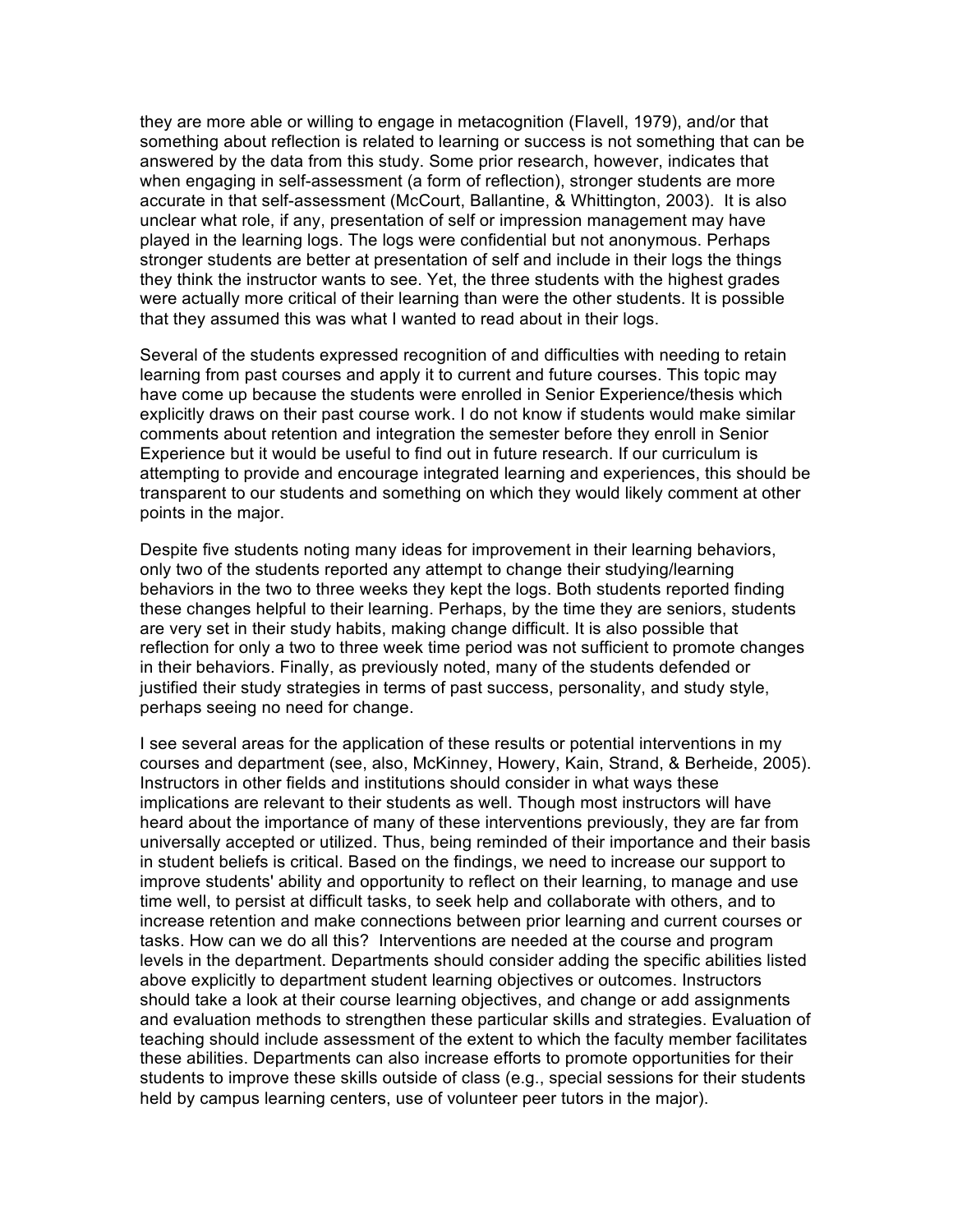they are more able or willing to engage in metacognition (Flavell, 1979), and/or that something about reflection is related to learning or success is not something that can be answered by the data from this study. Some prior research, however, indicates that when engaging in self-assessment (a form of reflection), stronger students are more accurate in that self-assessment (McCourt, Ballantine, & Whittington, 2003). It is also unclear what role, if any, presentation of self or impression management may have played in the learning logs. The logs were confidential but not anonymous. Perhaps stronger students are better at presentation of self and include in their logs the things they think the instructor wants to see. Yet, the three students with the highest grades were actually more critical of their learning than were the other students. It is possible that they assumed this was what I wanted to read about in their logs.

Several of the students expressed recognition of and difficulties with needing to retain learning from past courses and apply it to current and future courses. This topic may have come up because the students were enrolled in Senior Experience/thesis which explicitly draws on their past course work. I do not know if students would make similar comments about retention and integration the semester before they enroll in Senior Experience but it would be useful to find out in future research. If our curriculum is attempting to provide and encourage integrated learning and experiences, this should be transparent to our students and something on which they would likely comment at other points in the major.

Despite five students noting many ideas for improvement in their learning behaviors, only two of the students reported any attempt to change their studying/learning behaviors in the two to three weeks they kept the logs. Both students reported finding these changes helpful to their learning. Perhaps, by the time they are seniors, students are very set in their study habits, making change difficult. It is also possible that reflection for only a two to three week time period was not sufficient to promote changes in their behaviors. Finally, as previously noted, many of the students defended or justified their study strategies in terms of past success, personality, and study style, perhaps seeing no need for change.

I see several areas for the application of these results or potential interventions in my courses and department (see, also, McKinney, Howery, Kain, Strand, & Berheide, 2005). Instructors in other fields and institutions should consider in what ways these implications are relevant to their students as well. Though most instructors will have heard about the importance of many of these interventions previously, they are far from universally accepted or utilized. Thus, being reminded of their importance and their basis in student beliefs is critical. Based on the findings, we need to increase our support to improve students' ability and opportunity to reflect on their learning, to manage and use time well, to persist at difficult tasks, to seek help and collaborate with others, and to increase retention and make connections between prior learning and current courses or tasks. How can we do all this? Interventions are needed at the course and program levels in the department. Departments should consider adding the specific abilities listed above explicitly to department student learning objectives or outcomes. Instructors should take a look at their course learning objectives, and change or add assignments and evaluation methods to strengthen these particular skills and strategies. Evaluation of teaching should include assessment of the extent to which the faculty member facilitates these abilities. Departments can also increase efforts to promote opportunities for their students to improve these skills outside of class (e.g., special sessions for their students held by campus learning centers, use of volunteer peer tutors in the major).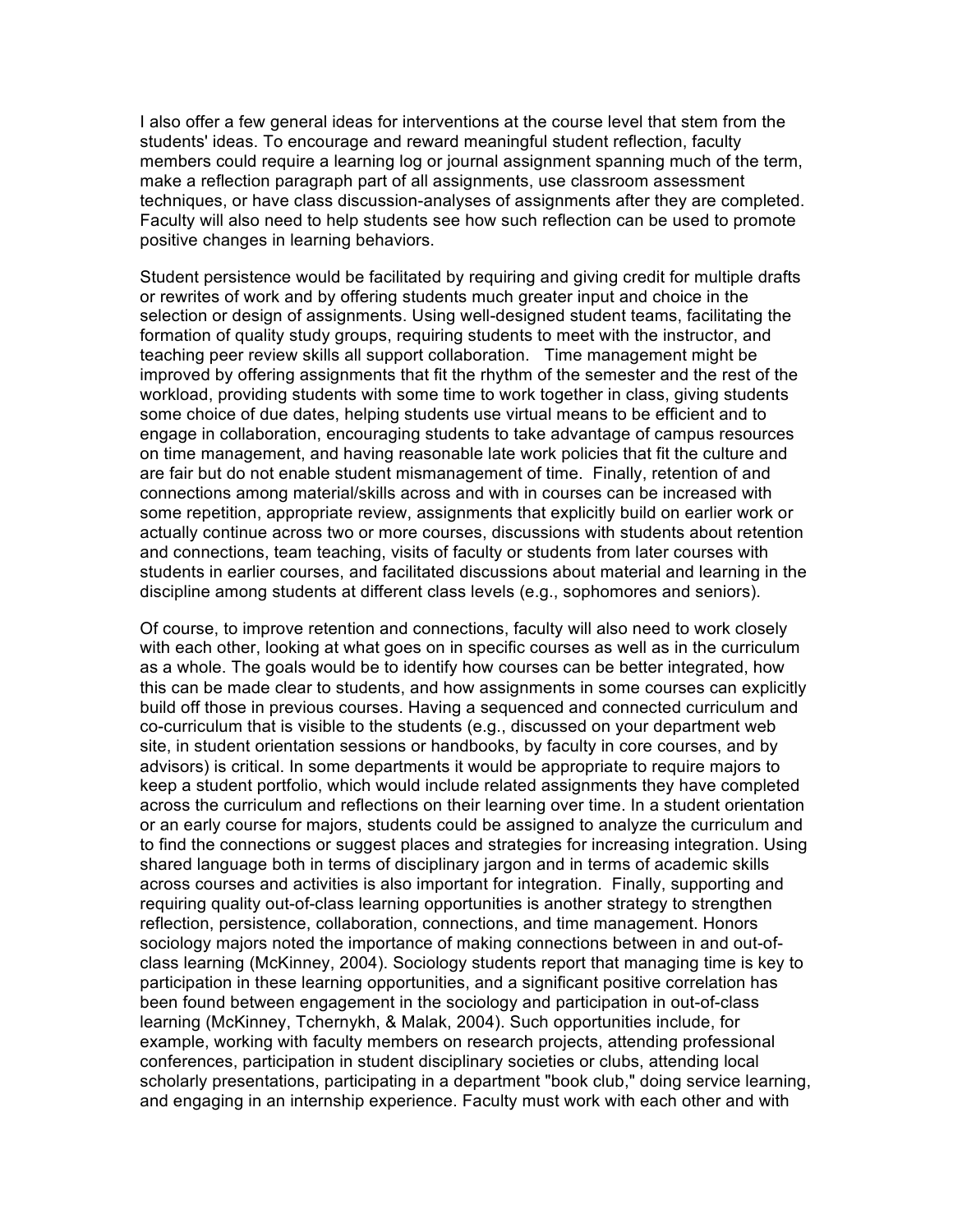I also offer a few general ideas for interventions at the course level that stem from the students' ideas. To encourage and reward meaningful student reflection, faculty members could require a learning log or journal assignment spanning much of the term, make a reflection paragraph part of all assignments, use classroom assessment techniques, or have class discussion-analyses of assignments after they are completed. Faculty will also need to help students see how such reflection can be used to promote positive changes in learning behaviors.

Student persistence would be facilitated by requiring and giving credit for multiple drafts or rewrites of work and by offering students much greater input and choice in the selection or design of assignments. Using well-designed student teams, facilitating the formation of quality study groups, requiring students to meet with the instructor, and teaching peer review skills all support collaboration. Time management might be improved by offering assignments that fit the rhythm of the semester and the rest of the workload, providing students with some time to work together in class, giving students some choice of due dates, helping students use virtual means to be efficient and to engage in collaboration, encouraging students to take advantage of campus resources on time management, and having reasonable late work policies that fit the culture and are fair but do not enable student mismanagement of time. Finally, retention of and connections among material/skills across and with in courses can be increased with some repetition, appropriate review, assignments that explicitly build on earlier work or actually continue across two or more courses, discussions with students about retention and connections, team teaching, visits of faculty or students from later courses with students in earlier courses, and facilitated discussions about material and learning in the discipline among students at different class levels (e.g., sophomores and seniors).

Of course, to improve retention and connections, faculty will also need to work closely with each other, looking at what goes on in specific courses as well as in the curriculum as a whole. The goals would be to identify how courses can be better integrated, how this can be made clear to students, and how assignments in some courses can explicitly build off those in previous courses. Having a sequenced and connected curriculum and co-curriculum that is visible to the students (e.g., discussed on your department web site, in student orientation sessions or handbooks, by faculty in core courses, and by advisors) is critical. In some departments it would be appropriate to require majors to keep a student portfolio, which would include related assignments they have completed across the curriculum and reflections on their learning over time. In a student orientation or an early course for majors, students could be assigned to analyze the curriculum and to find the connections or suggest places and strategies for increasing integration. Using shared language both in terms of disciplinary jargon and in terms of academic skills across courses and activities is also important for integration. Finally, supporting and requiring quality out-of-class learning opportunities is another strategy to strengthen reflection, persistence, collaboration, connections, and time management. Honors sociology majors noted the importance of making connections between in and out-ofclass learning (McKinney, 2004). Sociology students report that managing time is key to participation in these learning opportunities, and a significant positive correlation has been found between engagement in the sociology and participation in out-of-class learning (McKinney, Tchernykh, & Malak, 2004). Such opportunities include, for example, working with faculty members on research projects, attending professional conferences, participation in student disciplinary societies or clubs, attending local scholarly presentations, participating in a department "book club," doing service learning, and engaging in an internship experience. Faculty must work with each other and with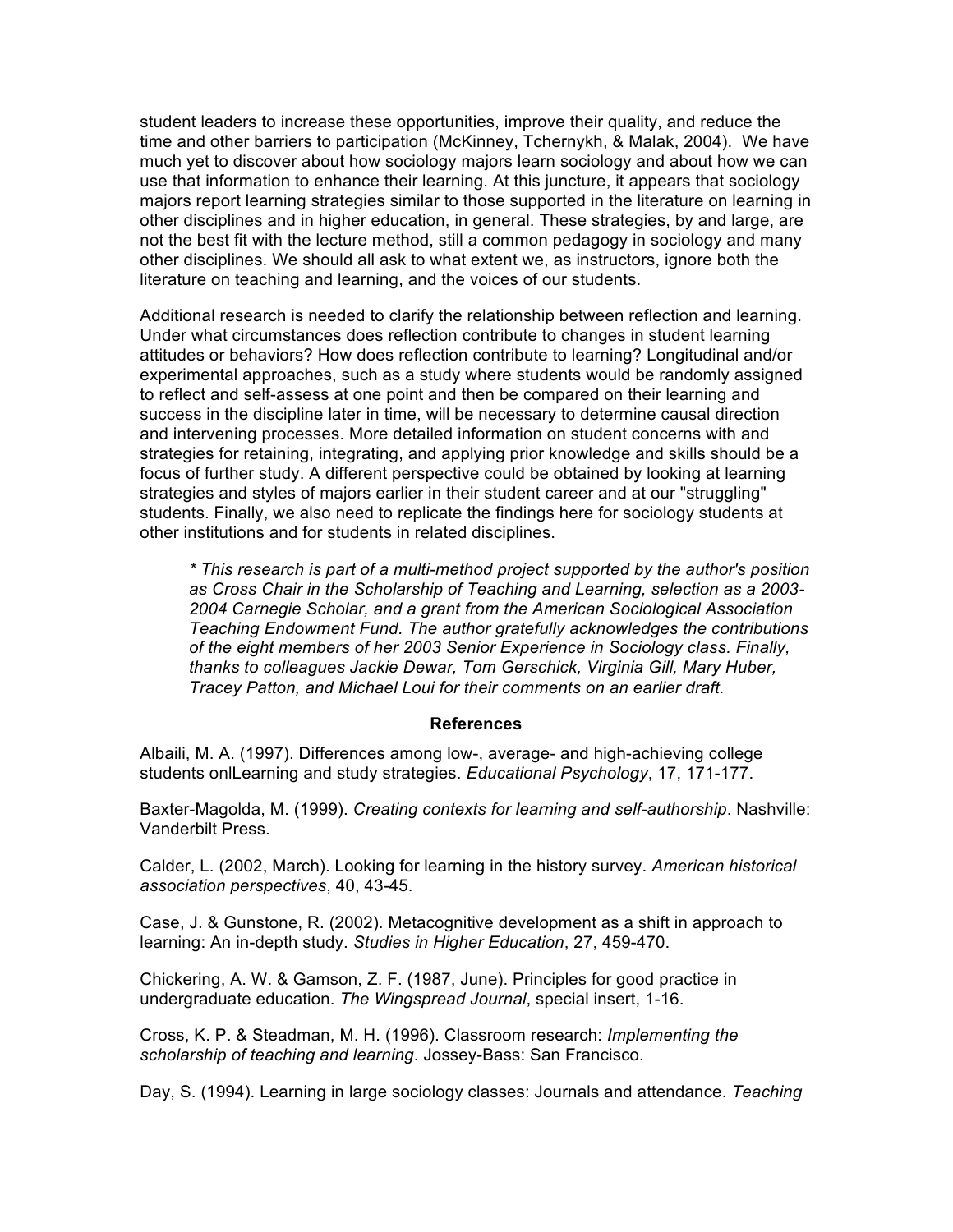student leaders to increase these opportunities, improve their quality, and reduce the time and other barriers to participation (McKinney, Tchernykh, & Malak, 2004). We have much yet to discover about how sociology majors learn sociology and about how we can use that information to enhance their learning. At this juncture, it appears that sociology majors report learning strategies similar to those supported in the literature on learning in other disciplines and in higher education, in general. These strategies, by and large, are not the best fit with the lecture method, still a common pedagogy in sociology and many other disciplines. We should all ask to what extent we, as instructors, ignore both the literature on teaching and learning, and the voices of our students.

Additional research is needed to clarify the relationship between reflection and learning. Under what circumstances does reflection contribute to changes in student learning attitudes or behaviors? How does reflection contribute to learning? Longitudinal and/or experimental approaches, such as a study where students would be randomly assigned to reflect and self-assess at one point and then be compared on their learning and success in the discipline later in time, will be necessary to determine causal direction and intervening processes. More detailed information on student concerns with and strategies for retaining, integrating, and applying prior knowledge and skills should be a focus of further study. A different perspective could be obtained by looking at learning strategies and styles of majors earlier in their student career and at our "struggling" students. Finally, we also need to replicate the findings here for sociology students at other institutions and for students in related disciplines.

*\* This research is part of a multi-method project supported by the author's position as Cross Chair in the Scholarship of Teaching and Learning, selection as a 2003- 2004 Carnegie Scholar, and a grant from the American Sociological Association Teaching Endowment Fund. The author gratefully acknowledges the contributions of the eight members of her 2003 Senior Experience in Sociology class. Finally, thanks to colleagues Jackie Dewar, Tom Gerschick, Virginia Gill, Mary Huber, Tracey Patton, and Michael Loui for their comments on an earlier draft.*

## **References**

Albaili, M. A. (1997). Differences among low-, average- and high-achieving college students onlLearning and study strategies. *Educational Psychology*, 17, 171-177.

Baxter-Magolda, M. (1999). *Creating contexts for learning and self-authorship*. Nashville: Vanderbilt Press.

Calder, L. (2002, March). Looking for learning in the history survey. *American historical association perspectives*, 40, 43-45.

Case, J. & Gunstone, R. (2002). Metacognitive development as a shift in approach to learning: An in-depth study. *Studies in Higher Education*, 27, 459-470.

Chickering, A. W. & Gamson, Z. F. (1987, June). Principles for good practice in undergraduate education. *The Wingspread Journal*, special insert, 1-16.

Cross, K. P. & Steadman, M. H. (1996). Classroom research: *Implementing the scholarship of teaching and learning*. Jossey-Bass: San Francisco.

Day, S. (1994). Learning in large sociology classes: Journals and attendance. *Teaching*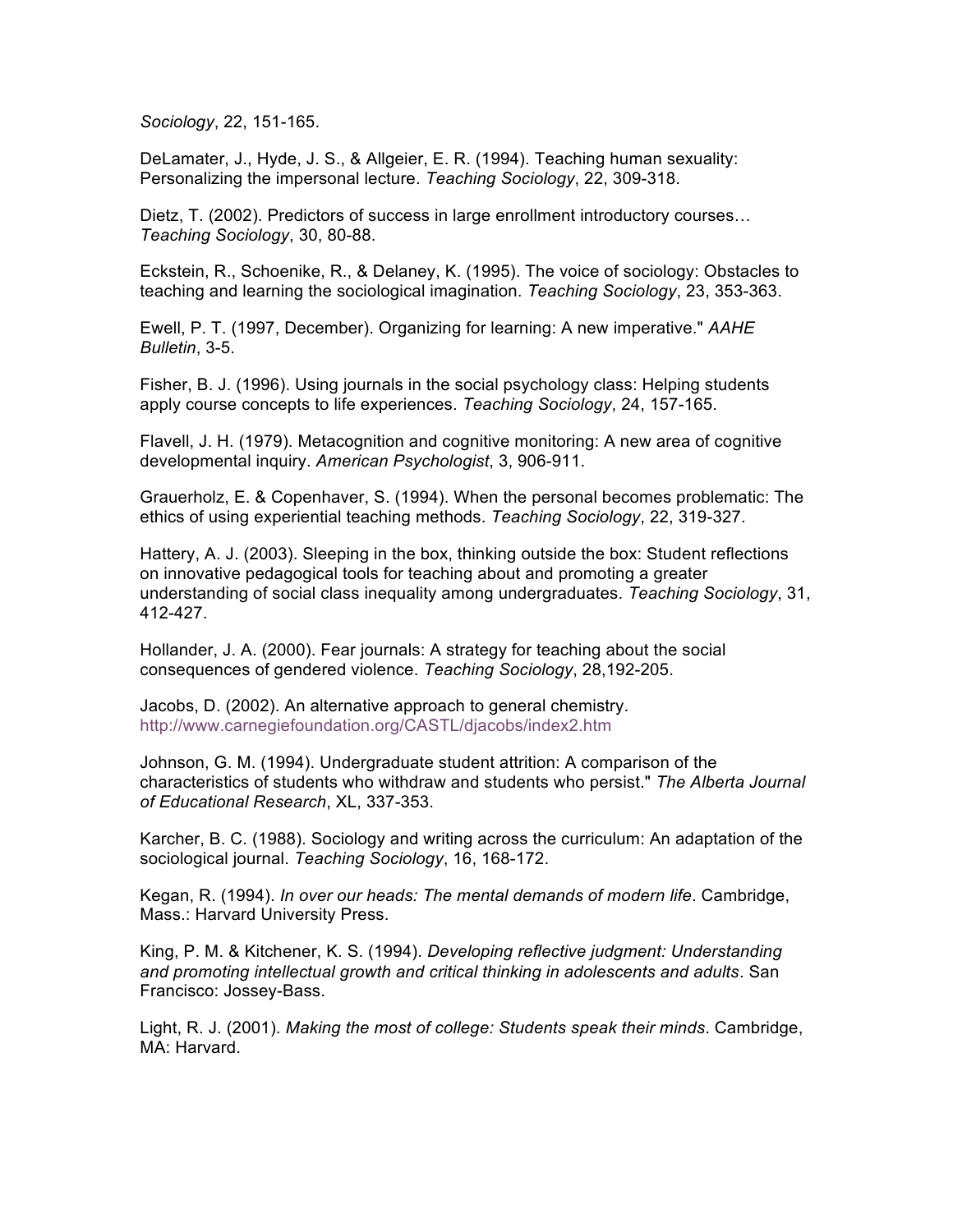*Sociology*, 22, 151-165.

DeLamater, J., Hyde, J. S., & Allgeier, E. R. (1994). Teaching human sexuality: Personalizing the impersonal lecture. *Teaching Sociology*, 22, 309-318.

Dietz, T. (2002). Predictors of success in large enrollment introductory courses… *Teaching Sociology*, 30, 80-88.

Eckstein, R., Schoenike, R., & Delaney, K. (1995). The voice of sociology: Obstacles to teaching and learning the sociological imagination. *Teaching Sociology*, 23, 353-363.

Ewell, P. T. (1997, December). Organizing for learning: A new imperative." *AAHE Bulletin*, 3-5.

Fisher, B. J. (1996). Using journals in the social psychology class: Helping students apply course concepts to life experiences. *Teaching Sociology*, 24, 157-165.

Flavell, J. H. (1979). Metacognition and cognitive monitoring: A new area of cognitive developmental inquiry. *American Psychologist*, 3, 906-911.

Grauerholz, E. & Copenhaver, S. (1994). When the personal becomes problematic: The ethics of using experiential teaching methods. *Teaching Sociology*, 22, 319-327.

Hattery, A. J. (2003). Sleeping in the box, thinking outside the box: Student reflections on innovative pedagogical tools for teaching about and promoting a greater understanding of social class inequality among undergraduates. *Teaching Sociology*, 31, 412-427.

Hollander, J. A. (2000). Fear journals: A strategy for teaching about the social consequences of gendered violence. *Teaching Sociology*, 28,192-205.

Jacobs, D. (2002). An alternative approach to general chemistry. http://www.carnegiefoundation.org/CASTL/djacobs/index2.htm

Johnson, G. M. (1994). Undergraduate student attrition: A comparison of the characteristics of students who withdraw and students who persist." *The Alberta Journal of Educational Research*, XL, 337-353.

Karcher, B. C. (1988). Sociology and writing across the curriculum: An adaptation of the sociological journal. *Teaching Sociology*, 16, 168-172.

Kegan, R. (1994). *In over our heads: The mental demands of modern life*. Cambridge, Mass.: Harvard University Press.

King, P. M. & Kitchener, K. S. (1994). *Developing reflective judgment: Understanding and promoting intellectual growth and critical thinking in adolescents and adults*. San Francisco: Jossey-Bass.

Light, R. J. (2001). *Making the most of college: Students speak their minds*. Cambridge, MA: Harvard.